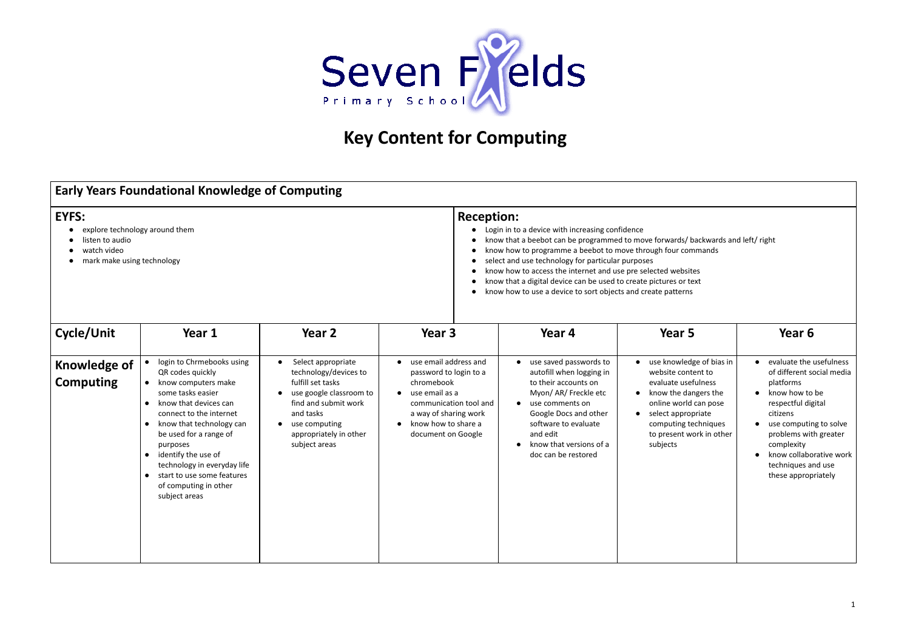

## **Key Content for Computing**

| <b>Early Years Foundational Knowledge of Computing</b>                                                         |                                                                                                                                                                                                                                                                                                                                                                      |                                                                                                                                                                                                                        |                                                                                                                                                                                                           |                                                                                                                                                                                                                                                                                                                                                                                                                                                                                                                                         |                                                                                                                                                                                                                    |                                                                                                                                                                                                                                                                |  |  |  |
|----------------------------------------------------------------------------------------------------------------|----------------------------------------------------------------------------------------------------------------------------------------------------------------------------------------------------------------------------------------------------------------------------------------------------------------------------------------------------------------------|------------------------------------------------------------------------------------------------------------------------------------------------------------------------------------------------------------------------|-----------------------------------------------------------------------------------------------------------------------------------------------------------------------------------------------------------|-----------------------------------------------------------------------------------------------------------------------------------------------------------------------------------------------------------------------------------------------------------------------------------------------------------------------------------------------------------------------------------------------------------------------------------------------------------------------------------------------------------------------------------------|--------------------------------------------------------------------------------------------------------------------------------------------------------------------------------------------------------------------|----------------------------------------------------------------------------------------------------------------------------------------------------------------------------------------------------------------------------------------------------------------|--|--|--|
| <b>EYFS:</b><br>explore technology around them<br>listen to audio<br>watch video<br>mark make using technology |                                                                                                                                                                                                                                                                                                                                                                      |                                                                                                                                                                                                                        |                                                                                                                                                                                                           | <b>Reception:</b><br>Login in to a device with increasing confidence<br>know that a beebot can be programmed to move forwards/ backwards and left/ right<br>know how to programme a beebot to move through four commands<br>select and use technology for particular purposes<br>$\bullet$<br>know how to access the internet and use pre selected websites<br>$\bullet$<br>know that a digital device can be used to create pictures or text<br>$\bullet$<br>know how to use a device to sort objects and create patterns<br>$\bullet$ |                                                                                                                                                                                                                    |                                                                                                                                                                                                                                                                |  |  |  |
| Cycle/Unit                                                                                                     | Year 1                                                                                                                                                                                                                                                                                                                                                               | Year 2                                                                                                                                                                                                                 | Year 3                                                                                                                                                                                                    | Year 4                                                                                                                                                                                                                                                                                                                                                                                                                                                                                                                                  | Year 5                                                                                                                                                                                                             | Year 6                                                                                                                                                                                                                                                         |  |  |  |
| <b>Knowledge of</b><br><b>Computing</b>                                                                        | • login to Chrmebooks using<br>QR codes quickly<br>• know computers make<br>some tasks easier<br>know that devices can<br>$\bullet$<br>connect to the internet<br>• know that technology can<br>be used for a range of<br>purposes<br>• identify the use of<br>technology in everyday life<br>• start to use some features<br>of computing in other<br>subject areas | Select appropriate<br>technology/devices to<br>fulfill set tasks<br>use google classroom to<br>$\bullet$<br>find and submit work<br>and tasks<br>use computing<br>$\bullet$<br>appropriately in other<br>subject areas | use email address and<br>$\bullet$<br>password to login to a<br>chromebook<br>use email as a<br>$\bullet$<br>communication tool and<br>a way of sharing work<br>know how to share a<br>document on Google | use saved passwords to<br>autofill when logging in<br>to their accounts on<br>Myon/ AR/ Freckle etc<br>use comments on<br>$\bullet$<br>Google Docs and other<br>software to evaluate<br>and edit<br>know that versions of a<br>doc can be restored                                                                                                                                                                                                                                                                                      | • use knowledge of bias in<br>website content to<br>evaluate usefulness<br>• know the dangers the<br>online world can pose<br>• select appropriate<br>computing techniques<br>to present work in other<br>subjects | evaluate the usefulness<br>of different social media<br>platforms<br>know how to be<br>respectful digital<br>citizens<br>use computing to solve<br>problems with greater<br>complexity<br>know collaborative work<br>techniques and use<br>these appropriately |  |  |  |

- 
- 
-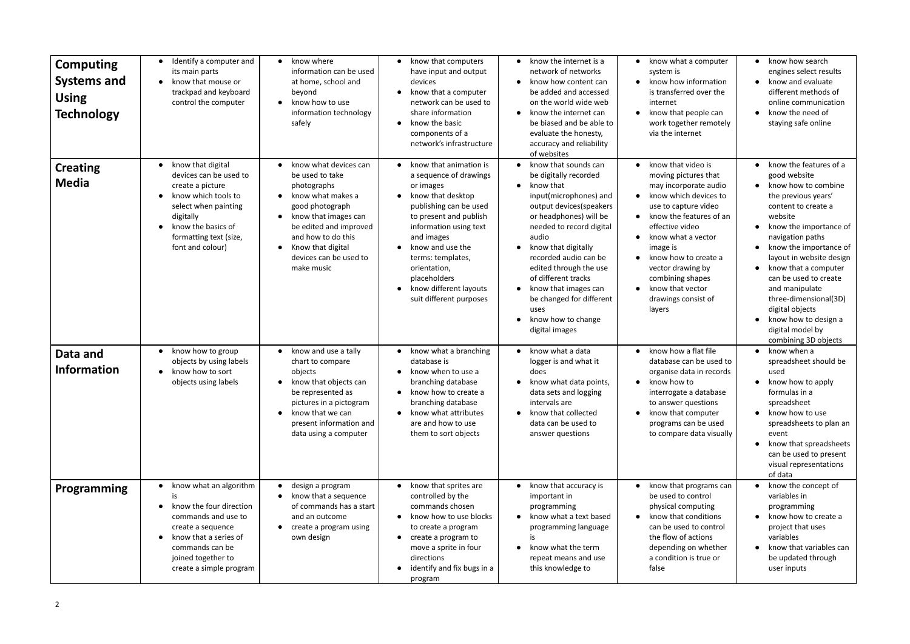| <b>Computing</b><br><b>Systems and</b><br><b>Using</b><br><b>Technology</b> | Identify a computer and<br>its main parts<br>know that mouse or<br>$\bullet$<br>trackpad and keyboard<br>control the computer                                                                                             | know where<br>$\bullet$<br>information can be used<br>at home, school and<br>beyond<br>know how to use<br>$\bullet$<br>information technology<br>safely                                                                                                        | know that computers<br>$\bullet$<br>have input and output<br>devices<br>know that a computer<br>$\bullet$<br>network can be used to<br>share information<br>know the basic<br>$\bullet$<br>components of a<br>network's infrastructure                                                                                                 | know the internet is a<br>$\bullet$<br>network of networks<br>know how content can<br>$\bullet$<br>be added and accessed<br>on the world wide web<br>know the internet can<br>$\bullet$<br>be biased and be able to<br>evaluate the honesty,<br>accuracy and reliability<br>of websites                                                                                                                       | know what a computer<br>$\bullet$<br>system is<br>know how information<br>$\bullet$<br>is transferred over the<br>internet<br>know that people can<br>$\bullet$<br>work together remotely<br>via the internet                                                                                                                                                                               | know how search<br>engines select results<br>know and evaluate<br>different methods of<br>online communication<br>know the need of<br>staying safe online                                                                                                                                                                                                                                                     |
|-----------------------------------------------------------------------------|---------------------------------------------------------------------------------------------------------------------------------------------------------------------------------------------------------------------------|----------------------------------------------------------------------------------------------------------------------------------------------------------------------------------------------------------------------------------------------------------------|----------------------------------------------------------------------------------------------------------------------------------------------------------------------------------------------------------------------------------------------------------------------------------------------------------------------------------------|---------------------------------------------------------------------------------------------------------------------------------------------------------------------------------------------------------------------------------------------------------------------------------------------------------------------------------------------------------------------------------------------------------------|---------------------------------------------------------------------------------------------------------------------------------------------------------------------------------------------------------------------------------------------------------------------------------------------------------------------------------------------------------------------------------------------|---------------------------------------------------------------------------------------------------------------------------------------------------------------------------------------------------------------------------------------------------------------------------------------------------------------------------------------------------------------------------------------------------------------|
| <b>Creating</b><br><b>Media</b>                                             | know that digital<br>devices can be used to<br>create a picture<br>know which tools to<br>$\bullet$<br>select when painting<br>digitally<br>know the basics of<br>$\bullet$<br>formatting text (size,<br>font and colour) | know what devices can<br>be used to take<br>photographs<br>know what makes a<br>good photograph<br>know that images can<br>$\bullet$<br>be edited and improved<br>and how to do this<br>Know that digital<br>$\bullet$<br>devices can be used to<br>make music | know that animation is<br>a sequence of drawings<br>or images<br>know that desktop<br>$\bullet$<br>publishing can be used<br>to present and publish<br>information using text<br>and images<br>know and use the<br>terms: templates,<br>orientation,<br>placeholders<br>know different layouts<br>$\bullet$<br>suit different purposes | know that sounds can<br>$\bullet$<br>be digitally recorded<br>know that<br>$\bullet$<br>input(microphones) and<br>output devices(speakers<br>or headphones) will be<br>needed to record digital<br>audio<br>know that digitally<br>recorded audio can be<br>edited through the use<br>of different tracks<br>know that images can<br>be changed for different<br>uses<br>know how to change<br>digital images | know that video is<br>$\bullet$<br>moving pictures that<br>may incorporate audio<br>know which devices to<br>$\bullet$<br>use to capture video<br>know the features of an<br>$\bullet$<br>effective video<br>know what a vector<br>image is<br>know how to create a<br>$\bullet$<br>vector drawing by<br>combining shapes<br>know that vector<br>$\bullet$<br>drawings consist of<br>layers | know the features of a<br>good website<br>know how to combine<br>the previous years'<br>content to create a<br>website<br>know the importance of<br>navigation paths<br>know the importance of<br>layout in website design<br>know that a computer<br>can be used to create<br>and manipulate<br>three-dimensional(3D)<br>digital objects<br>know how to design a<br>digital model by<br>combining 3D objects |
| Data and<br><b>Information</b>                                              | know how to group<br>objects by using labels<br>know how to sort<br>$\bullet$<br>objects using labels                                                                                                                     | • know and use a tally<br>chart to compare<br>objects<br>know that objects can<br>be represented as<br>pictures in a pictogram<br>know that we can<br>$\bullet$<br>present information and<br>data using a computer                                            | know what a branching<br>database is<br>know when to use a<br>$\bullet$<br>branching database<br>know how to create a<br>$\bullet$<br>branching database<br>know what attributes<br>$\bullet$<br>are and how to use<br>them to sort objects                                                                                            | know what a data<br>$\bullet$<br>logger is and what it<br>does<br>know what data points,<br>data sets and logging<br>intervals are<br>know that collected<br>$\bullet$<br>data can be used to<br>answer questions                                                                                                                                                                                             | know how a flat file<br>$\bullet$<br>database can be used to<br>organise data in records<br>know how to<br>$\bullet$<br>interrogate a database<br>to answer questions<br>know that computer<br>$\bullet$<br>programs can be used<br>to compare data visually                                                                                                                                | know when a<br>spreadsheet should be<br>used<br>know how to apply<br>formulas in a<br>spreadsheet<br>know how to use<br>spreadsheets to plan an<br>event<br>know that spreadsheets<br>can be used to present<br>visual representations<br>of data                                                                                                                                                             |
| <b>Programming</b>                                                          | know what an algorithm<br>know the four direction<br>$\bullet$<br>commands and use to<br>create a sequence<br>know that a series of<br>$\bullet$<br>commands can be<br>joined together to<br>create a simple program      | design a program<br>$\bullet$<br>know that a sequence<br>of commands has a start<br>and an outcome<br>create a program using<br>own design                                                                                                                     | • know that sprites are<br>controlled by the<br>commands chosen<br>know how to use blocks<br>$\bullet$<br>to create a program<br>create a program to<br>$\bullet$<br>move a sprite in four<br>directions<br>identify and fix bugs in a<br>$\bullet$<br>program                                                                         | know that accuracy is<br>$\bullet$<br>important in<br>programming<br>know what a text based<br>$\bullet$<br>programming language<br>know what the term<br>repeat means and use<br>this knowledge to                                                                                                                                                                                                           | know that programs can<br>be used to control<br>physical computing<br>know that conditions<br>$\bullet$<br>can be used to control<br>the flow of actions<br>depending on whether<br>a condition is true or<br>false                                                                                                                                                                         | know the concept of<br>variables in<br>programming<br>know how to create a<br>project that uses<br>variables<br>know that variables can<br>be updated through<br>user inputs                                                                                                                                                                                                                                  |